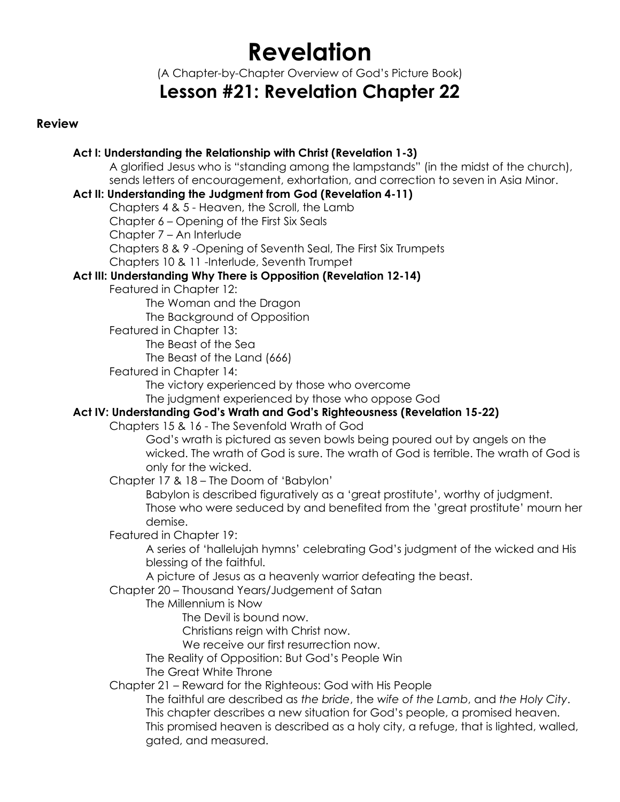# **Revelation**

(A Chapter-by-Chapter Overview of God's Picture Book)

# **Lesson #21: Revelation Chapter 22**

# **Review**

# **Act I: Understanding the Relationship with Christ (Revelation 1-3)**

A glorified Jesus who is "standing among the lampstands" (in the midst of the church), sends letters of encouragement, exhortation, and correction to seven in Asia Minor.

# **Act II: Understanding the Judgment from God (Revelation 4-11)**

Chapters 4 & 5 - Heaven, the Scroll, the Lamb

Chapter 6 – Opening of the First Six Seals

Chapter 7 – An Interlude

Chapters 8 & 9 -Opening of Seventh Seal, The First Six Trumpets

Chapters 10 & 11 -Interlude, Seventh Trumpet

# **Act III: Understanding Why There is Opposition (Revelation 12-14)**

Featured in Chapter 12:

The Woman and the Dragon The Background of Opposition

Featured in Chapter 13:

The Beast of the Sea

The Beast of the Land (666)

Featured in Chapter 14:

The victory experienced by those who overcome

The judgment experienced by those who oppose God

# **Act IV: Understanding God's Wrath and God's Righteousness (Revelation 15-22)**

Chapters 15 & 16 - The Sevenfold Wrath of God

God's wrath is pictured as seven bowls being poured out by angels on the wicked. The wrath of God is sure. The wrath of God is terrible. The wrath of God is only for the wicked.

Chapter 17 & 18 – The Doom of 'Babylon'

Babylon is described figuratively as a 'great prostitute', worthy of judgment. Those who were seduced by and benefited from the 'great prostitute' mourn her demise.

Featured in Chapter 19:

A series of 'hallelujah hymns' celebrating God's judgment of the wicked and His blessing of the faithful.

A picture of Jesus as a heavenly warrior defeating the beast.

Chapter 20 – Thousand Years/Judgement of Satan

The Millennium is Now

The Devil is bound now.

Christians reign with Christ now.

We receive our first resurrection now.

The Reality of Opposition: But God's People Win

The Great White Throne

Chapter 21 – Reward for the Righteous: God with His People

The faithful are described as *the bride*, the *wife of the Lamb*, and *the Holy City*. This chapter describes a new situation for God's people, a promised heaven. This promised heaven is described as a holy city, a refuge, that is lighted, walled, gated, and measured.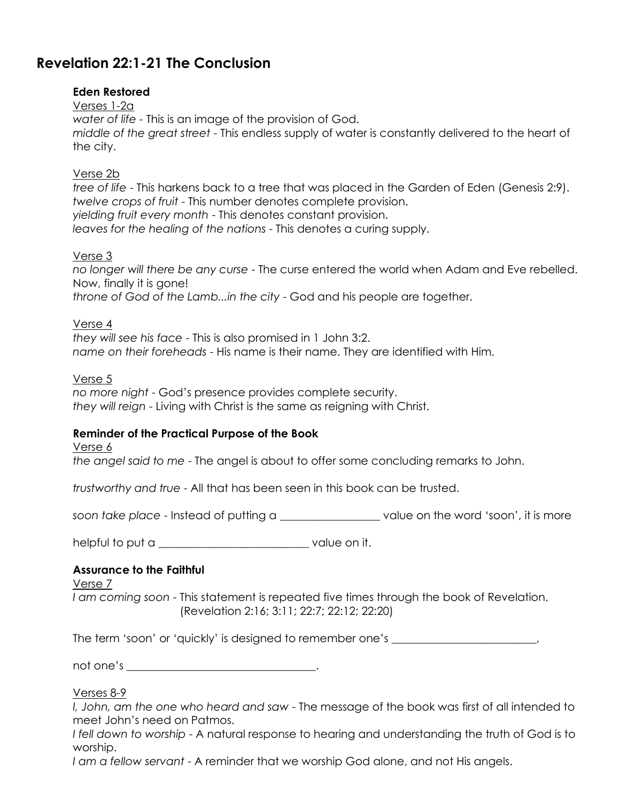# **Revelation 22:1-21 The Conclusion**

#### **Eden Restored**

Verses 1-2a *water of life* - This is an image of the provision of God. *middle of the great street* - This endless supply of water is constantly delivered to the heart of the city.

#### Verse 2b

*tree of life* - This harkens back to a tree that was placed in the Garden of Eden (Genesis 2:9). *twelve crops of fruit* - This number denotes complete provision. *yielding fruit every month* - This denotes constant provision. *leaves for the healing of the nations* - This denotes a curing supply.

#### Verse 3

*no longer will there be any curse* - The curse entered the world when Adam and Eve rebelled. Now, finally it is gone!

*throne of God of the Lamb...in the city* - God and his people are together.

#### Verse 4

*they will see his face* - This is also promised in 1 John 3:2. *name on their foreheads* - His name is their name. They are identified with Him.

#### Verse 5

*no more night* - God's presence provides complete security. *they will reign* - Living with Christ is the same as reigning with Christ.

# **Reminder of the Practical Purpose of the Book**

Verse 6

*the angel said to me* - The angel is about to offer some concluding remarks to John.

*trustworthy and true* - All that has been seen in this book can be trusted.

*soon take place* - Instead of putting a \_\_\_\_\_\_\_\_\_\_\_\_\_\_\_\_\_\_ value on the word 'soon', it is more

helpful to put a set a set of the value on it.

# **Assurance to the Faithful**

#### Verse 7

*I am coming soon* - This statement is repeated five times through the book of Revelation. (Revelation 2:16; 3:11; 22:7; 22:12; 22:20)

The term 'soon' or 'quickly' is designed to remember one's \_\_\_\_\_\_\_\_\_\_\_\_\_\_\_\_\_\_\_\_\_,

not one's \_\_\_\_\_\_\_\_\_\_\_\_\_\_\_\_\_\_\_\_\_\_\_\_\_\_\_\_\_\_\_\_\_\_.

#### Verses 8-9

*I, John, am the one who heard and saw* - The message of the book was first of all intended to meet John's need on Patmos.

*I fell down to worship* - A natural response to hearing and understanding the truth of God is to worship.

*I am a fellow servant* - A reminder that we worship God alone, and not His angels.